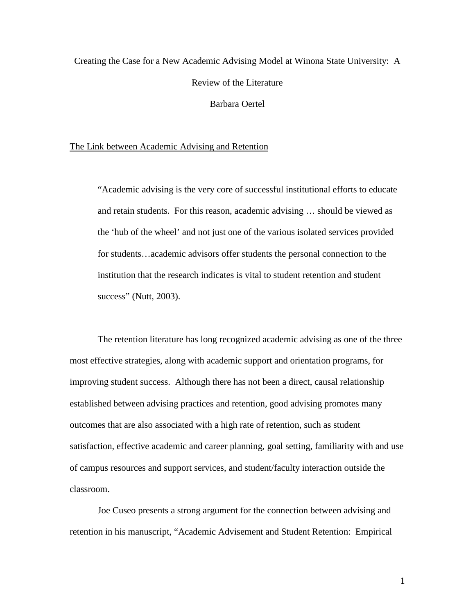# Creating the Case for a New Academic Advising Model at Winona State University: A Review of the Literature Barbara Oertel

## The Link between Academic Advising and Retention

"Academic advising is the very core of successful institutional efforts to educate and retain students. For this reason, academic advising … should be viewed as the 'hub of the wheel' and not just one of the various isolated services provided for students…academic advisors offer students the personal connection to the institution that the research indicates is vital to student retention and student success" (Nutt, 2003).

The retention literature has long recognized academic advising as one of the three most effective strategies, along with academic support and orientation programs, for improving student success. Although there has not been a direct, causal relationship established between advising practices and retention, good advising promotes many outcomes that are also associated with a high rate of retention, such as student satisfaction, effective academic and career planning, goal setting, familiarity with and use of campus resources and support services, and student/faculty interaction outside the classroom.

Joe Cuseo presents a strong argument for the connection between advising and retention in his manuscript, "Academic Advisement and Student Retention: Empirical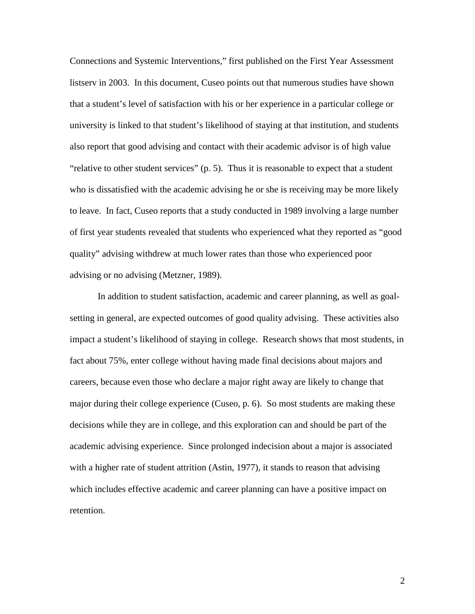Connections and Systemic Interventions," first published on the First Year Assessment listserv in 2003. In this document, Cuseo points out that numerous studies have shown that a student's level of satisfaction with his or her experience in a particular college or university is linked to that student's likelihood of staying at that institution, and students also report that good advising and contact with their academic advisor is of high value "relative to other student services" (p. 5). Thus it is reasonable to expect that a student who is dissatisfied with the academic advising he or she is receiving may be more likely to leave. In fact, Cuseo reports that a study conducted in 1989 involving a large number of first year students revealed that students who experienced what they reported as "good quality" advising withdrew at much lower rates than those who experienced poor advising or no advising (Metzner, 1989).

In addition to student satisfaction, academic and career planning, as well as goalsetting in general, are expected outcomes of good quality advising. These activities also impact a student's likelihood of staying in college. Research shows that most students, in fact about 75%, enter college without having made final decisions about majors and careers, because even those who declare a major right away are likely to change that major during their college experience (Cuseo, p. 6). So most students are making these decisions while they are in college, and this exploration can and should be part of the academic advising experience. Since prolonged indecision about a major is associated with a higher rate of student attrition (Astin, 1977), it stands to reason that advising which includes effective academic and career planning can have a positive impact on retention.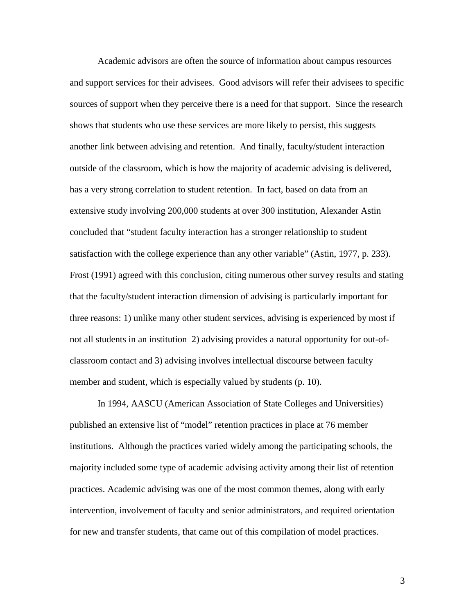Academic advisors are often the source of information about campus resources and support services for their advisees. Good advisors will refer their advisees to specific sources of support when they perceive there is a need for that support. Since the research shows that students who use these services are more likely to persist, this suggests another link between advising and retention. And finally, faculty/student interaction outside of the classroom, which is how the majority of academic advising is delivered, has a very strong correlation to student retention. In fact, based on data from an extensive study involving 200,000 students at over 300 institution, Alexander Astin concluded that "student faculty interaction has a stronger relationship to student satisfaction with the college experience than any other variable" (Astin, 1977, p. 233). Frost (1991) agreed with this conclusion, citing numerous other survey results and stating that the faculty/student interaction dimension of advising is particularly important for three reasons: 1) unlike many other student services, advising is experienced by most if not all students in an institution 2) advising provides a natural opportunity for out-ofclassroom contact and 3) advising involves intellectual discourse between faculty member and student, which is especially valued by students (p. 10).

In 1994, AASCU (American Association of State Colleges and Universities) published an extensive list of "model" retention practices in place at 76 member institutions. Although the practices varied widely among the participating schools, the majority included some type of academic advising activity among their list of retention practices. Academic advising was one of the most common themes, along with early intervention, involvement of faculty and senior administrators, and required orientation for new and transfer students, that came out of this compilation of model practices.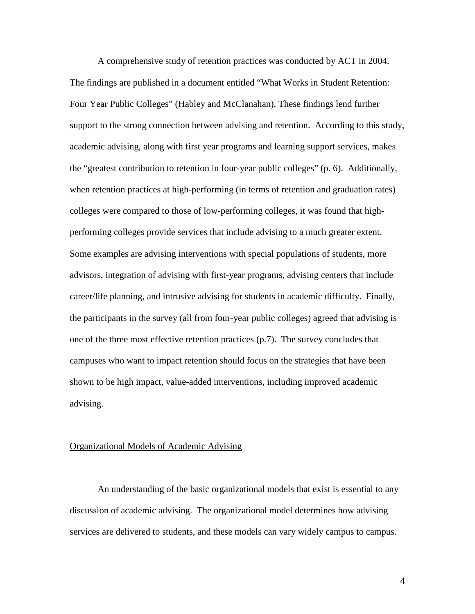A comprehensive study of retention practices was conducted by ACT in 2004. The findings are published in a document entitled "What Works in Student Retention: Four Year Public Colleges" (Habley and McClanahan). These findings lend further support to the strong connection between advising and retention. According to this study, academic advising, along with first year programs and learning support services, makes the "greatest contribution to retention in four-year public colleges" (p. 6). Additionally, when retention practices at high-performing (in terms of retention and graduation rates) colleges were compared to those of low-performing colleges, it was found that highperforming colleges provide services that include advising to a much greater extent. Some examples are advising interventions with special populations of students, more advisors, integration of advising with first-year programs, advising centers that include career/life planning, and intrusive advising for students in academic difficulty. Finally, the participants in the survey (all from four-year public colleges) agreed that advising is one of the three most effective retention practices (p.7). The survey concludes that campuses who want to impact retention should focus on the strategies that have been shown to be high impact, value-added interventions, including improved academic advising.

#### Organizational Models of Academic Advising

An understanding of the basic organizational models that exist is essential to any discussion of academic advising. The organizational model determines how advising services are delivered to students, and these models can vary widely campus to campus.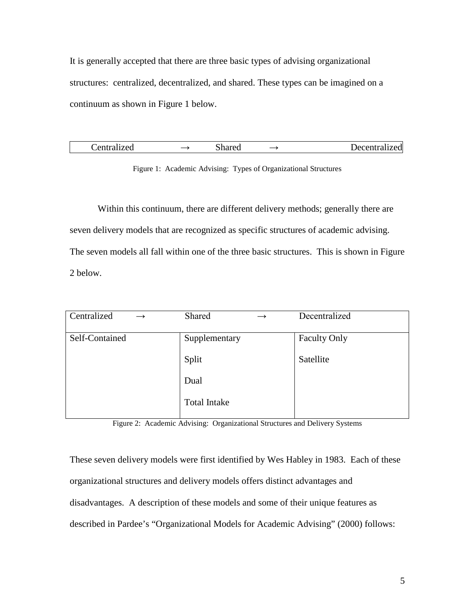It is generally accepted that there are three basic types of advising organizational structures: centralized, decentralized, and shared. These types can be imagined on a continuum as shown in Figure 1 below.

| Centralized |  | Shared |  | Decentralized |
|-------------|--|--------|--|---------------|
|-------------|--|--------|--|---------------|

Figure 1: Academic Advising: Types of Organizational Structures

Within this continuum, there are different delivery methods; generally there are seven delivery models that are recognized as specific structures of academic advising. The seven models all fall within one of the three basic structures. This is shown in Figure 2 below.

| Shared<br>$\rightarrow$ | Decentralized       |
|-------------------------|---------------------|
| Supplementary           | <b>Faculty Only</b> |
| Split                   | Satellite           |
| Dual                    |                     |
| <b>Total Intake</b>     |                     |
|                         |                     |

Figure 2: Academic Advising: Organizational Structures and Delivery Systems

These seven delivery models were first identified by Wes Habley in 1983. Each of these organizational structures and delivery models offers distinct advantages and disadvantages. A description of these models and some of their unique features as described in Pardee's "Organizational Models for Academic Advising" (2000) follows: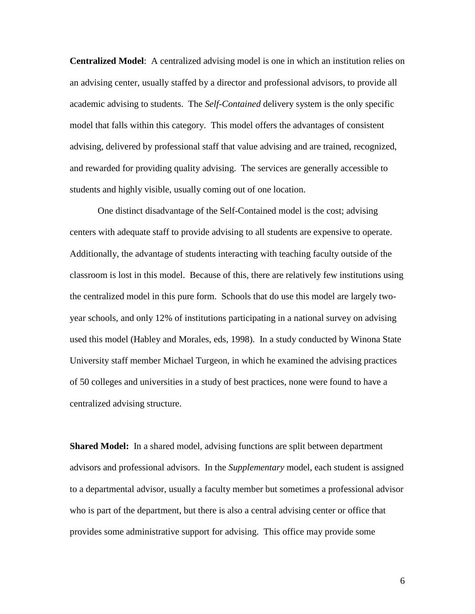**Centralized Model**: A centralized advising model is one in which an institution relies on an advising center, usually staffed by a director and professional advisors, to provide all academic advising to students. The *Self-Contained* delivery system is the only specific model that falls within this category. This model offers the advantages of consistent advising, delivered by professional staff that value advising and are trained, recognized, and rewarded for providing quality advising. The services are generally accessible to students and highly visible, usually coming out of one location.

One distinct disadvantage of the Self-Contained model is the cost; advising centers with adequate staff to provide advising to all students are expensive to operate. Additionally, the advantage of students interacting with teaching faculty outside of the classroom is lost in this model. Because of this, there are relatively few institutions using the centralized model in this pure form. Schools that do use this model are largely twoyear schools, and only 12% of institutions participating in a national survey on advising used this model (Habley and Morales, eds, 1998). In a study conducted by Winona State University staff member Michael Turgeon, in which he examined the advising practices of 50 colleges and universities in a study of best practices, none were found to have a centralized advising structure.

**Shared Model:** In a shared model, advising functions are split between department advisors and professional advisors. In the *Supplementary* model, each student is assigned to a departmental advisor, usually a faculty member but sometimes a professional advisor who is part of the department, but there is also a central advising center or office that provides some administrative support for advising. This office may provide some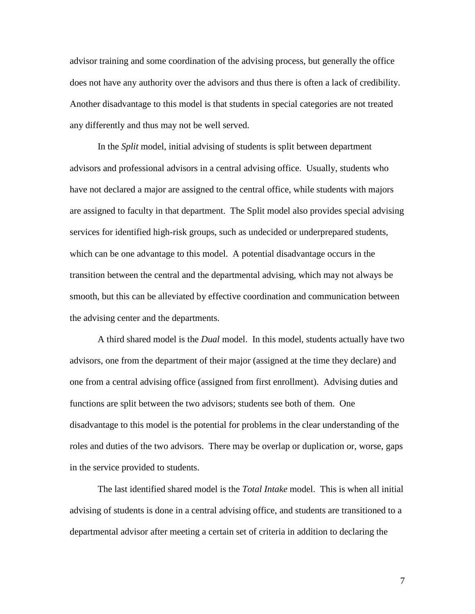advisor training and some coordination of the advising process, but generally the office does not have any authority over the advisors and thus there is often a lack of credibility. Another disadvantage to this model is that students in special categories are not treated any differently and thus may not be well served.

In the *Split* model, initial advising of students is split between department advisors and professional advisors in a central advising office. Usually, students who have not declared a major are assigned to the central office, while students with majors are assigned to faculty in that department. The Split model also provides special advising services for identified high-risk groups, such as undecided or underprepared students, which can be one advantage to this model. A potential disadvantage occurs in the transition between the central and the departmental advising, which may not always be smooth, but this can be alleviated by effective coordination and communication between the advising center and the departments.

A third shared model is the *Dual* model. In this model, students actually have two advisors, one from the department of their major (assigned at the time they declare) and one from a central advising office (assigned from first enrollment). Advising duties and functions are split between the two advisors; students see both of them. One disadvantage to this model is the potential for problems in the clear understanding of the roles and duties of the two advisors. There may be overlap or duplication or, worse, gaps in the service provided to students.

The last identified shared model is the *Total Intake* model. This is when all initial advising of students is done in a central advising office, and students are transitioned to a departmental advisor after meeting a certain set of criteria in addition to declaring the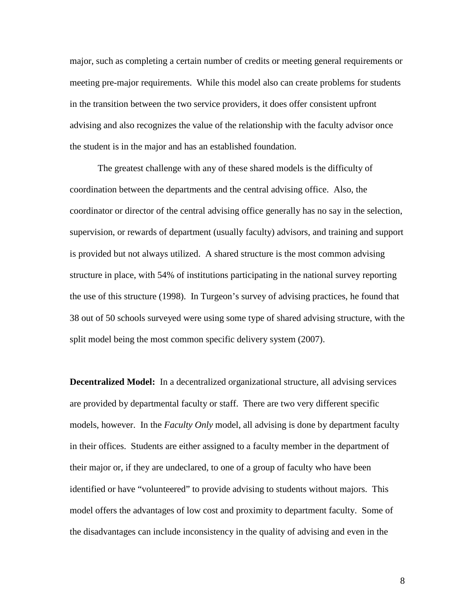major, such as completing a certain number of credits or meeting general requirements or meeting pre-major requirements. While this model also can create problems for students in the transition between the two service providers, it does offer consistent upfront advising and also recognizes the value of the relationship with the faculty advisor once the student is in the major and has an established foundation.

The greatest challenge with any of these shared models is the difficulty of coordination between the departments and the central advising office. Also, the coordinator or director of the central advising office generally has no say in the selection, supervision, or rewards of department (usually faculty) advisors, and training and support is provided but not always utilized. A shared structure is the most common advising structure in place, with 54% of institutions participating in the national survey reporting the use of this structure (1998). In Turgeon's survey of advising practices, he found that 38 out of 50 schools surveyed were using some type of shared advising structure, with the split model being the most common specific delivery system (2007).

**Decentralized Model:** In a decentralized organizational structure, all advising services are provided by departmental faculty or staff. There are two very different specific models, however. In the *Faculty Only* model, all advising is done by department faculty in their offices. Students are either assigned to a faculty member in the department of their major or, if they are undeclared, to one of a group of faculty who have been identified or have "volunteered" to provide advising to students without majors. This model offers the advantages of low cost and proximity to department faculty. Some of the disadvantages can include inconsistency in the quality of advising and even in the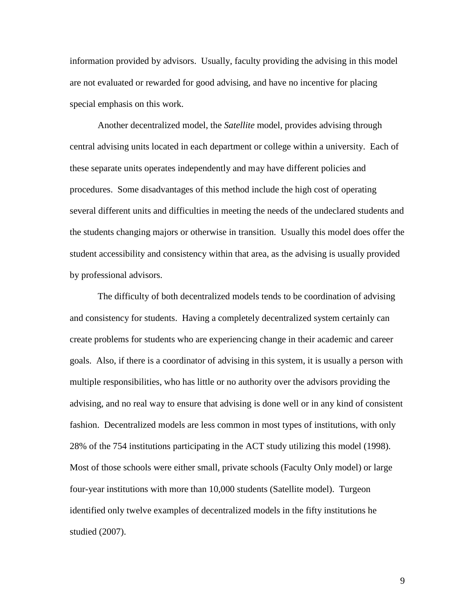information provided by advisors. Usually, faculty providing the advising in this model are not evaluated or rewarded for good advising, and have no incentive for placing special emphasis on this work.

Another decentralized model, the *Satellite* model, provides advising through central advising units located in each department or college within a university. Each of these separate units operates independently and may have different policies and procedures. Some disadvantages of this method include the high cost of operating several different units and difficulties in meeting the needs of the undeclared students and the students changing majors or otherwise in transition. Usually this model does offer the student accessibility and consistency within that area, as the advising is usually provided by professional advisors.

The difficulty of both decentralized models tends to be coordination of advising and consistency for students. Having a completely decentralized system certainly can create problems for students who are experiencing change in their academic and career goals. Also, if there is a coordinator of advising in this system, it is usually a person with multiple responsibilities, who has little or no authority over the advisors providing the advising, and no real way to ensure that advising is done well or in any kind of consistent fashion. Decentralized models are less common in most types of institutions, with only 28% of the 754 institutions participating in the ACT study utilizing this model (1998). Most of those schools were either small, private schools (Faculty Only model) or large four-year institutions with more than 10,000 students (Satellite model). Turgeon identified only twelve examples of decentralized models in the fifty institutions he studied (2007).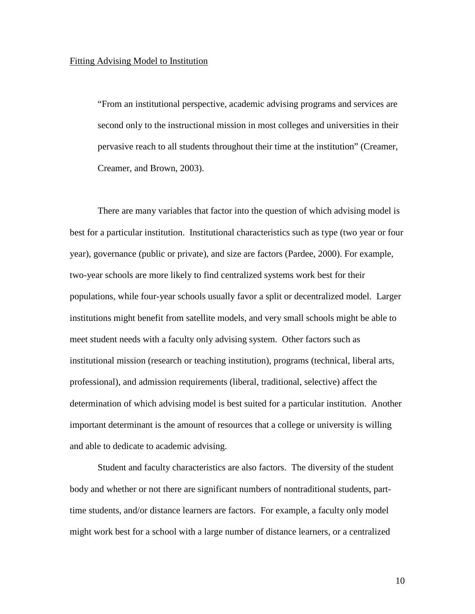"From an institutional perspective, academic advising programs and services are second only to the instructional mission in most colleges and universities in their pervasive reach to all students throughout their time at the institution" (Creamer, Creamer, and Brown, 2003).

There are many variables that factor into the question of which advising model is best for a particular institution. Institutional characteristics such as type (two year or four year), governance (public or private), and size are factors (Pardee, 2000). For example, two-year schools are more likely to find centralized systems work best for their populations, while four-year schools usually favor a split or decentralized model. Larger institutions might benefit from satellite models, and very small schools might be able to meet student needs with a faculty only advising system. Other factors such as institutional mission (research or teaching institution), programs (technical, liberal arts, professional), and admission requirements (liberal, traditional, selective) affect the determination of which advising model is best suited for a particular institution. Another important determinant is the amount of resources that a college or university is willing and able to dedicate to academic advising.

Student and faculty characteristics are also factors. The diversity of the student body and whether or not there are significant numbers of nontraditional students, parttime students, and/or distance learners are factors. For example, a faculty only model might work best for a school with a large number of distance learners, or a centralized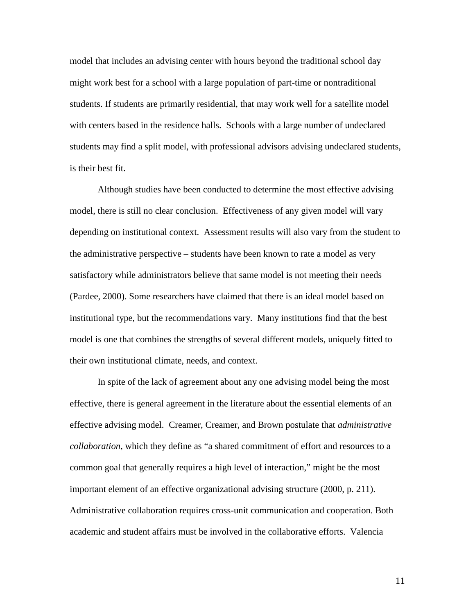model that includes an advising center with hours beyond the traditional school day might work best for a school with a large population of part-time or nontraditional students. If students are primarily residential, that may work well for a satellite model with centers based in the residence halls. Schools with a large number of undeclared students may find a split model, with professional advisors advising undeclared students, is their best fit.

Although studies have been conducted to determine the most effective advising model, there is still no clear conclusion. Effectiveness of any given model will vary depending on institutional context. Assessment results will also vary from the student to the administrative perspective – students have been known to rate a model as very satisfactory while administrators believe that same model is not meeting their needs (Pardee, 2000). Some researchers have claimed that there is an ideal model based on institutional type, but the recommendations vary. Many institutions find that the best model is one that combines the strengths of several different models, uniquely fitted to their own institutional climate, needs, and context.

In spite of the lack of agreement about any one advising model being the most effective, there is general agreement in the literature about the essential elements of an effective advising model. Creamer, Creamer, and Brown postulate that *administrative collaboration*, which they define as "a shared commitment of effort and resources to a common goal that generally requires a high level of interaction," might be the most important element of an effective organizational advising structure (2000, p. 211). Administrative collaboration requires cross-unit communication and cooperation. Both academic and student affairs must be involved in the collaborative efforts. Valencia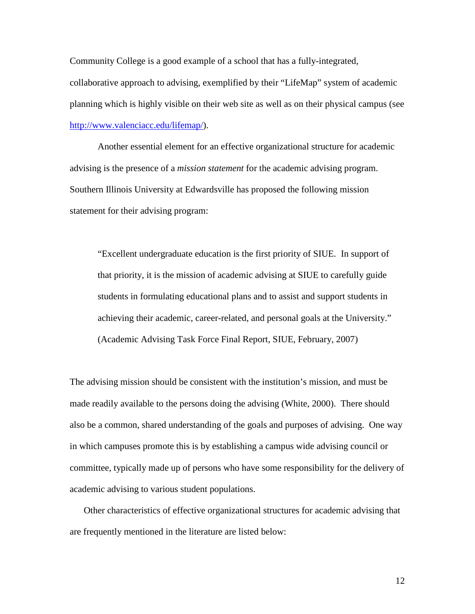Community College is a good example of a school that has a fully-integrated, collaborative approach to advising, exemplified by their "LifeMap" system of academic planning which is highly visible on their web site as well as on their physical campus (see [http://www.valenciacc.edu/lifemap/\)](http://www.valenciacc.edu/lifemap/).

Another essential element for an effective organizational structure for academic advising is the presence of a *mission statement* for the academic advising program. Southern Illinois University at Edwardsville has proposed the following mission statement for their advising program:

"Excellent undergraduate education is the first priority of SIUE. In support of that priority, it is the mission of academic advising at SIUE to carefully guide students in formulating educational plans and to assist and support students in achieving their academic, career-related, and personal goals at the University." (Academic Advising Task Force Final Report, SIUE, February, 2007)

The advising mission should be consistent with the institution's mission, and must be made readily available to the persons doing the advising (White, 2000). There should also be a common, shared understanding of the goals and purposes of advising. One way in which campuses promote this is by establishing a campus wide advising council or committee, typically made up of persons who have some responsibility for the delivery of academic advising to various student populations.

Other characteristics of effective organizational structures for academic advising that are frequently mentioned in the literature are listed below: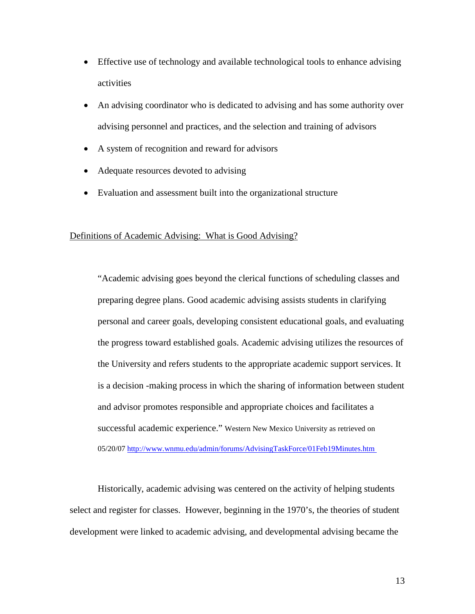- Effective use of technology and available technological tools to enhance advising activities
- An advising coordinator who is dedicated to advising and has some authority over advising personnel and practices, and the selection and training of advisors
- A system of recognition and reward for advisors
- Adequate resources devoted to advising
- Evaluation and assessment built into the organizational structure

## Definitions of Academic Advising: What is Good Advising?

"Academic advising goes beyond the clerical functions of scheduling classes and preparing degree plans. Good academic advising assists students in clarifying personal and career goals, developing consistent educational goals, and evaluating the progress toward established goals. Academic advising utilizes the resources of the University and refers students to the appropriate academic support services. It is a decision -making process in which the sharing of information between student and advisor promotes responsible and appropriate choices and facilitates a successful academic experience." Western New Mexico University as retrieved on 05/20/07<http://www.wnmu.edu/admin/forums/AdvisingTaskForce/01Feb19Minutes.htm>

Historically, academic advising was centered on the activity of helping students select and register for classes. However, beginning in the 1970's, the theories of student development were linked to academic advising, and developmental advising became the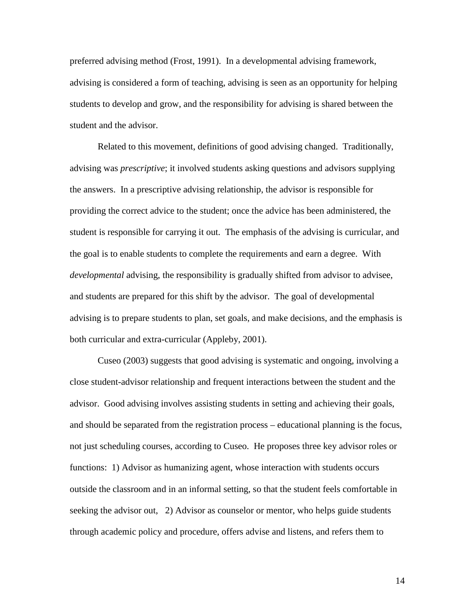preferred advising method (Frost, 1991). In a developmental advising framework, advising is considered a form of teaching, advising is seen as an opportunity for helping students to develop and grow, and the responsibility for advising is shared between the student and the advisor.

Related to this movement, definitions of good advising changed. Traditionally, advising was *prescriptive*; it involved students asking questions and advisors supplying the answers. In a prescriptive advising relationship, the advisor is responsible for providing the correct advice to the student; once the advice has been administered, the student is responsible for carrying it out. The emphasis of the advising is curricular, and the goal is to enable students to complete the requirements and earn a degree. With *developmental* advising, the responsibility is gradually shifted from advisor to advisee, and students are prepared for this shift by the advisor. The goal of developmental advising is to prepare students to plan, set goals, and make decisions, and the emphasis is both curricular and extra-curricular (Appleby, 2001).

Cuseo (2003) suggests that good advising is systematic and ongoing, involving a close student-advisor relationship and frequent interactions between the student and the advisor. Good advising involves assisting students in setting and achieving their goals, and should be separated from the registration process – educational planning is the focus, not just scheduling courses, according to Cuseo. He proposes three key advisor roles or functions: 1) Advisor as humanizing agent, whose interaction with students occurs outside the classroom and in an informal setting, so that the student feels comfortable in seeking the advisor out, 2) Advisor as counselor or mentor, who helps guide students through academic policy and procedure, offers advise and listens, and refers them to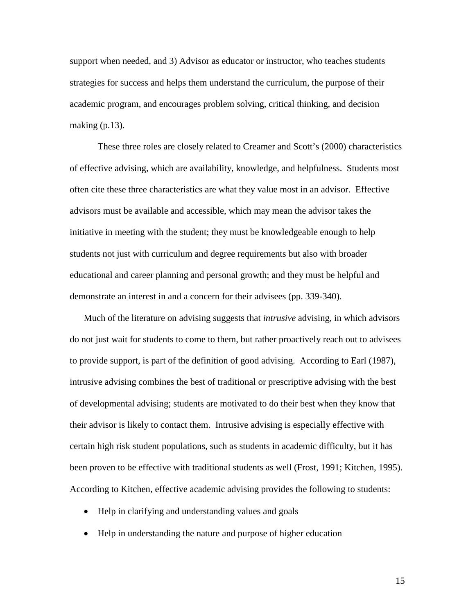support when needed, and 3) Advisor as educator or instructor, who teaches students strategies for success and helps them understand the curriculum, the purpose of their academic program, and encourages problem solving, critical thinking, and decision making  $(p.13)$ .

These three roles are closely related to Creamer and Scott's (2000) characteristics of effective advising, which are availability, knowledge, and helpfulness. Students most often cite these three characteristics are what they value most in an advisor. Effective advisors must be available and accessible, which may mean the advisor takes the initiative in meeting with the student; they must be knowledgeable enough to help students not just with curriculum and degree requirements but also with broader educational and career planning and personal growth; and they must be helpful and demonstrate an interest in and a concern for their advisees (pp. 339-340).

Much of the literature on advising suggests that *intrusive* advising, in which advisors do not just wait for students to come to them, but rather proactively reach out to advisees to provide support, is part of the definition of good advising. According to Earl (1987), intrusive advising combines the best of traditional or prescriptive advising with the best of developmental advising; students are motivated to do their best when they know that their advisor is likely to contact them. Intrusive advising is especially effective with certain high risk student populations, such as students in academic difficulty, but it has been proven to be effective with traditional students as well (Frost, 1991; Kitchen, 1995). According to Kitchen, effective academic advising provides the following to students:

- Help in clarifying and understanding values and goals
- Help in understanding the nature and purpose of higher education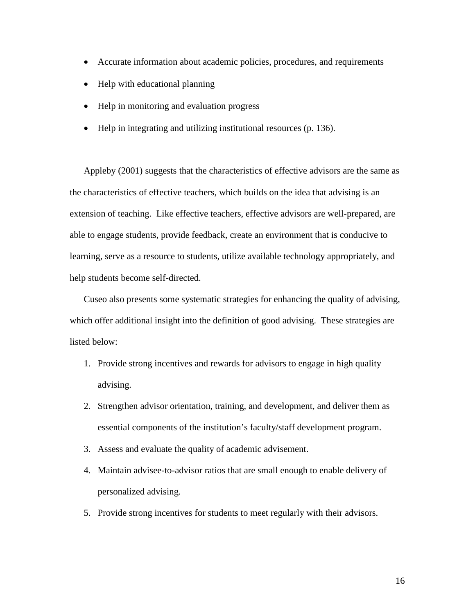- Accurate information about academic policies, procedures, and requirements
- Help with educational planning
- Help in monitoring and evaluation progress
- Help in integrating and utilizing institutional resources (p. 136).

Appleby (2001) suggests that the characteristics of effective advisors are the same as the characteristics of effective teachers, which builds on the idea that advising is an extension of teaching. Like effective teachers, effective advisors are well-prepared, are able to engage students, provide feedback, create an environment that is conducive to learning, serve as a resource to students, utilize available technology appropriately, and help students become self-directed.

Cuseo also presents some systematic strategies for enhancing the quality of advising, which offer additional insight into the definition of good advising. These strategies are listed below:

- 1. Provide strong incentives and rewards for advisors to engage in high quality advising.
- 2. Strengthen advisor orientation, training, and development, and deliver them as essential components of the institution's faculty/staff development program.
- 3. Assess and evaluate the quality of academic advisement.
- 4. Maintain advisee-to-advisor ratios that are small enough to enable delivery of personalized advising.
- 5. Provide strong incentives for students to meet regularly with their advisors.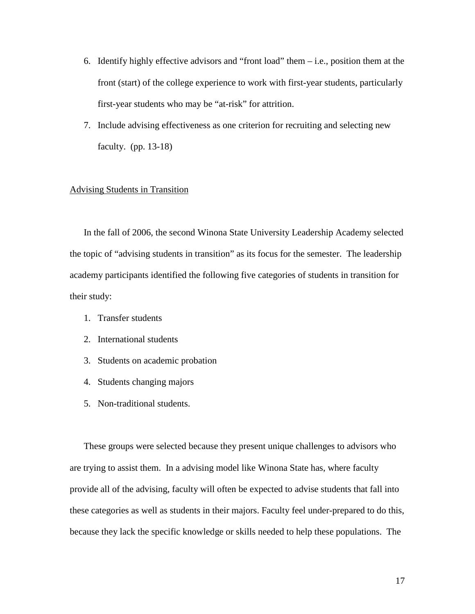- 6. Identify highly effective advisors and "front load" them  $-i.e.,$  position them at the front (start) of the college experience to work with first-year students, particularly first-year students who may be "at-risk" for attrition.
- 7. Include advising effectiveness as one criterion for recruiting and selecting new faculty. (pp. 13-18)

# Advising Students in Transition

In the fall of 2006, the second Winona State University Leadership Academy selected the topic of "advising students in transition" as its focus for the semester. The leadership academy participants identified the following five categories of students in transition for their study:

- 1. Transfer students
- 2. International students
- 3. Students on academic probation
- 4. Students changing majors
- 5. Non-traditional students.

These groups were selected because they present unique challenges to advisors who are trying to assist them. In a advising model like Winona State has, where faculty provide all of the advising, faculty will often be expected to advise students that fall into these categories as well as students in their majors. Faculty feel under-prepared to do this, because they lack the specific knowledge or skills needed to help these populations. The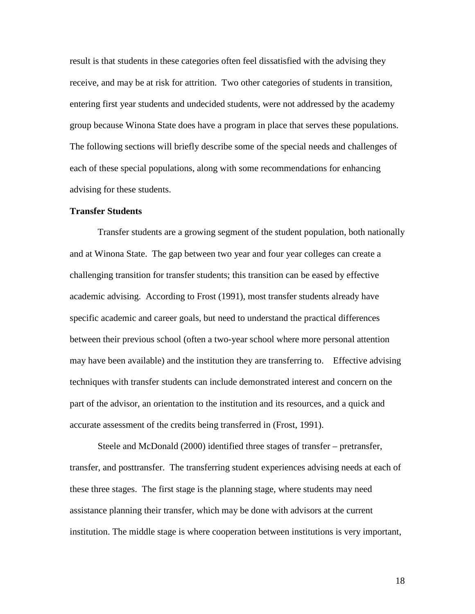result is that students in these categories often feel dissatisfied with the advising they receive, and may be at risk for attrition. Two other categories of students in transition, entering first year students and undecided students, were not addressed by the academy group because Winona State does have a program in place that serves these populations. The following sections will briefly describe some of the special needs and challenges of each of these special populations, along with some recommendations for enhancing advising for these students.

## **Transfer Students**

Transfer students are a growing segment of the student population, both nationally and at Winona State. The gap between two year and four year colleges can create a challenging transition for transfer students; this transition can be eased by effective academic advising. According to Frost (1991), most transfer students already have specific academic and career goals, but need to understand the practical differences between their previous school (often a two-year school where more personal attention may have been available) and the institution they are transferring to. Effective advising techniques with transfer students can include demonstrated interest and concern on the part of the advisor, an orientation to the institution and its resources, and a quick and accurate assessment of the credits being transferred in (Frost, 1991).

Steele and McDonald (2000) identified three stages of transfer – pretransfer, transfer, and posttransfer. The transferring student experiences advising needs at each of these three stages. The first stage is the planning stage, where students may need assistance planning their transfer, which may be done with advisors at the current institution. The middle stage is where cooperation between institutions is very important,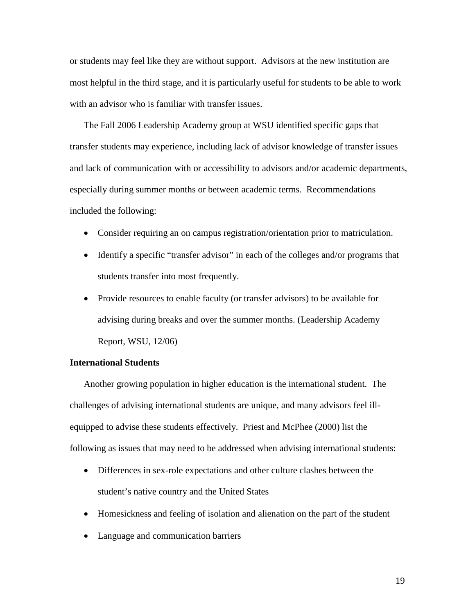or students may feel like they are without support. Advisors at the new institution are most helpful in the third stage, and it is particularly useful for students to be able to work with an advisor who is familiar with transfer issues.

The Fall 2006 Leadership Academy group at WSU identified specific gaps that transfer students may experience, including lack of advisor knowledge of transfer issues and lack of communication with or accessibility to advisors and/or academic departments, especially during summer months or between academic terms. Recommendations included the following:

- Consider requiring an on campus registration/orientation prior to matriculation.
- Identify a specific "transfer advisor" in each of the colleges and/or programs that students transfer into most frequently.
- Provide resources to enable faculty (or transfer advisors) to be available for advising during breaks and over the summer months. (Leadership Academy Report, WSU, 12/06)

# **International Students**

Another growing population in higher education is the international student. The challenges of advising international students are unique, and many advisors feel illequipped to advise these students effectively. Priest and McPhee (2000) list the following as issues that may need to be addressed when advising international students:

- Differences in sex-role expectations and other culture clashes between the student's native country and the United States
- Homesickness and feeling of isolation and alienation on the part of the student
- Language and communication barriers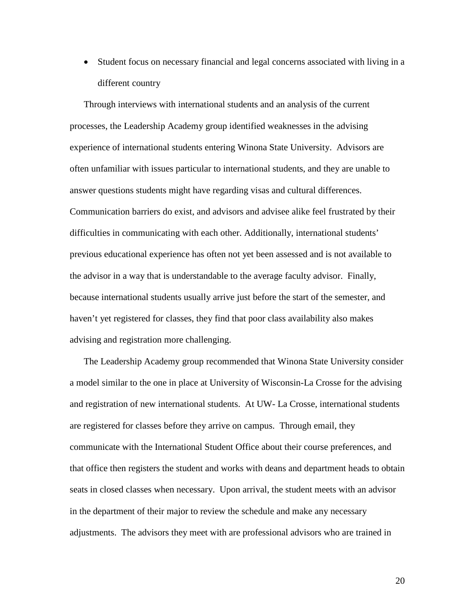• Student focus on necessary financial and legal concerns associated with living in a different country

Through interviews with international students and an analysis of the current processes, the Leadership Academy group identified weaknesses in the advising experience of international students entering Winona State University. Advisors are often unfamiliar with issues particular to international students, and they are unable to answer questions students might have regarding visas and cultural differences. Communication barriers do exist, and advisors and advisee alike feel frustrated by their difficulties in communicating with each other. Additionally, international students' previous educational experience has often not yet been assessed and is not available to the advisor in a way that is understandable to the average faculty advisor. Finally, because international students usually arrive just before the start of the semester, and haven't yet registered for classes, they find that poor class availability also makes advising and registration more challenging.

The Leadership Academy group recommended that Winona State University consider a model similar to the one in place at University of Wisconsin-La Crosse for the advising and registration of new international students. At UW- La Crosse, international students are registered for classes before they arrive on campus. Through email, they communicate with the International Student Office about their course preferences, and that office then registers the student and works with deans and department heads to obtain seats in closed classes when necessary. Upon arrival, the student meets with an advisor in the department of their major to review the schedule and make any necessary adjustments. The advisors they meet with are professional advisors who are trained in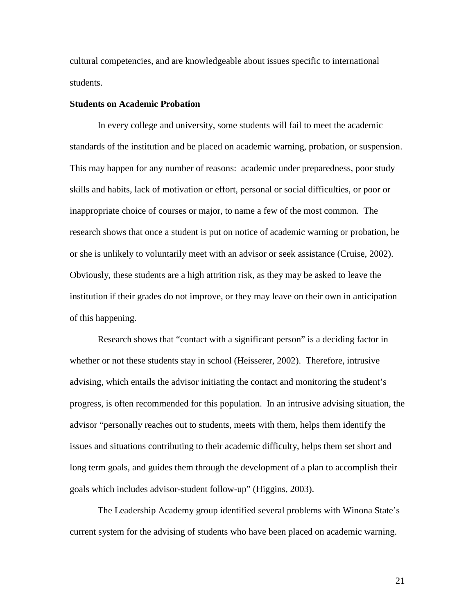cultural competencies, and are knowledgeable about issues specific to international students.

## **Students on Academic Probation**

In every college and university, some students will fail to meet the academic standards of the institution and be placed on academic warning, probation, or suspension. This may happen for any number of reasons: academic under preparedness, poor study skills and habits, lack of motivation or effort, personal or social difficulties, or poor or inappropriate choice of courses or major, to name a few of the most common. The research shows that once a student is put on notice of academic warning or probation, he or she is unlikely to voluntarily meet with an advisor or seek assistance (Cruise, 2002). Obviously, these students are a high attrition risk, as they may be asked to leave the institution if their grades do not improve, or they may leave on their own in anticipation of this happening.

Research shows that "contact with a significant person" is a deciding factor in whether or not these students stay in school (Heisserer, 2002). Therefore, intrusive advising, which entails the advisor initiating the contact and monitoring the student's progress, is often recommended for this population. In an intrusive advising situation, the advisor "personally reaches out to students, meets with them, helps them identify the issues and situations contributing to their academic difficulty, helps them set short and long term goals, and guides them through the development of a plan to accomplish their goals which includes advisor-student follow-up" (Higgins, 2003).

The Leadership Academy group identified several problems with Winona State's current system for the advising of students who have been placed on academic warning.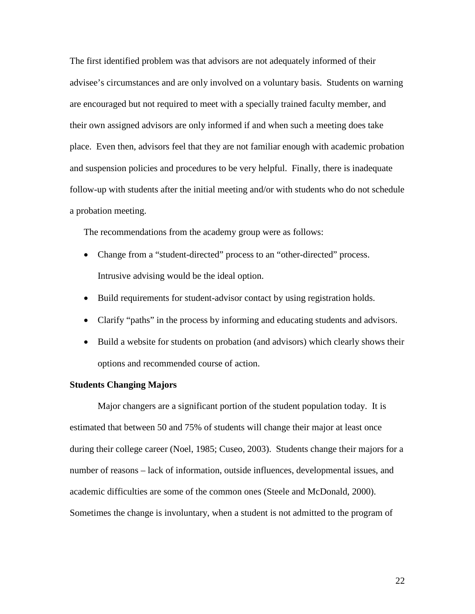The first identified problem was that advisors are not adequately informed of their advisee's circumstances and are only involved on a voluntary basis. Students on warning are encouraged but not required to meet with a specially trained faculty member, and their own assigned advisors are only informed if and when such a meeting does take place. Even then, advisors feel that they are not familiar enough with academic probation and suspension policies and procedures to be very helpful. Finally, there is inadequate follow-up with students after the initial meeting and/or with students who do not schedule a probation meeting.

The recommendations from the academy group were as follows:

- Change from a "student-directed" process to an "other-directed" process. Intrusive advising would be the ideal option.
- Build requirements for student-advisor contact by using registration holds.
- Clarify "paths" in the process by informing and educating students and advisors.
- Build a website for students on probation (and advisors) which clearly shows their options and recommended course of action.

#### **Students Changing Majors**

Major changers are a significant portion of the student population today. It is estimated that between 50 and 75% of students will change their major at least once during their college career (Noel, 1985; Cuseo, 2003). Students change their majors for a number of reasons – lack of information, outside influences, developmental issues, and academic difficulties are some of the common ones (Steele and McDonald, 2000). Sometimes the change is involuntary, when a student is not admitted to the program of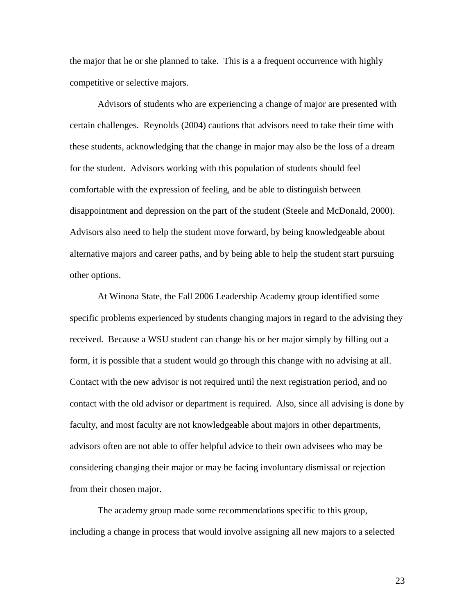the major that he or she planned to take. This is a a frequent occurrence with highly competitive or selective majors.

Advisors of students who are experiencing a change of major are presented with certain challenges. Reynolds (2004) cautions that advisors need to take their time with these students, acknowledging that the change in major may also be the loss of a dream for the student. Advisors working with this population of students should feel comfortable with the expression of feeling, and be able to distinguish between disappointment and depression on the part of the student (Steele and McDonald, 2000). Advisors also need to help the student move forward, by being knowledgeable about alternative majors and career paths, and by being able to help the student start pursuing other options.

At Winona State, the Fall 2006 Leadership Academy group identified some specific problems experienced by students changing majors in regard to the advising they received. Because a WSU student can change his or her major simply by filling out a form, it is possible that a student would go through this change with no advising at all. Contact with the new advisor is not required until the next registration period, and no contact with the old advisor or department is required. Also, since all advising is done by faculty, and most faculty are not knowledgeable about majors in other departments, advisors often are not able to offer helpful advice to their own advisees who may be considering changing their major or may be facing involuntary dismissal or rejection from their chosen major.

The academy group made some recommendations specific to this group, including a change in process that would involve assigning all new majors to a selected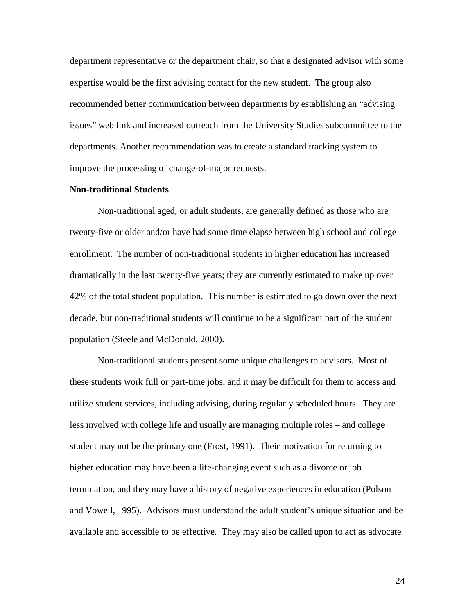department representative or the department chair, so that a designated advisor with some expertise would be the first advising contact for the new student. The group also recommended better communication between departments by establishing an "advising issues" web link and increased outreach from the University Studies subcommittee to the departments. Another recommendation was to create a standard tracking system to improve the processing of change-of-major requests.

# **Non-traditional Students**

Non-traditional aged, or adult students, are generally defined as those who are twenty-five or older and/or have had some time elapse between high school and college enrollment. The number of non-traditional students in higher education has increased dramatically in the last twenty-five years; they are currently estimated to make up over 42% of the total student population. This number is estimated to go down over the next decade, but non-traditional students will continue to be a significant part of the student population (Steele and McDonald, 2000).

Non-traditional students present some unique challenges to advisors. Most of these students work full or part-time jobs, and it may be difficult for them to access and utilize student services, including advising, during regularly scheduled hours. They are less involved with college life and usually are managing multiple roles – and college student may not be the primary one (Frost, 1991). Their motivation for returning to higher education may have been a life-changing event such as a divorce or job termination, and they may have a history of negative experiences in education (Polson and Vowell, 1995). Advisors must understand the adult student's unique situation and be available and accessible to be effective. They may also be called upon to act as advocate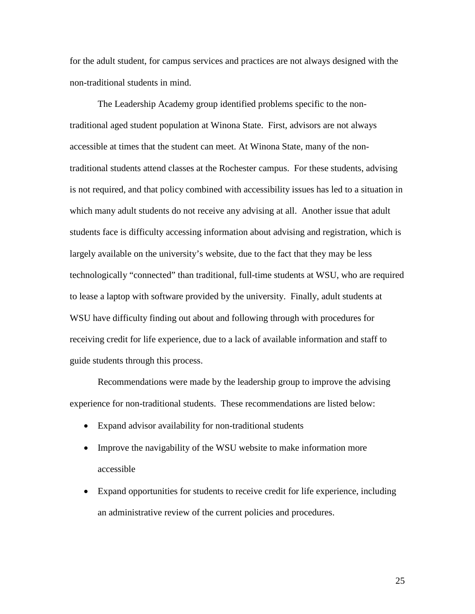for the adult student, for campus services and practices are not always designed with the non-traditional students in mind.

The Leadership Academy group identified problems specific to the nontraditional aged student population at Winona State. First, advisors are not always accessible at times that the student can meet. At Winona State, many of the nontraditional students attend classes at the Rochester campus. For these students, advising is not required, and that policy combined with accessibility issues has led to a situation in which many adult students do not receive any advising at all. Another issue that adult students face is difficulty accessing information about advising and registration, which is largely available on the university's website, due to the fact that they may be less technologically "connected" than traditional, full-time students at WSU, who are required to lease a laptop with software provided by the university. Finally, adult students at WSU have difficulty finding out about and following through with procedures for receiving credit for life experience, due to a lack of available information and staff to guide students through this process.

Recommendations were made by the leadership group to improve the advising experience for non-traditional students. These recommendations are listed below:

- Expand advisor availability for non-traditional students
- Improve the navigability of the WSU website to make information more accessible
- Expand opportunities for students to receive credit for life experience, including an administrative review of the current policies and procedures.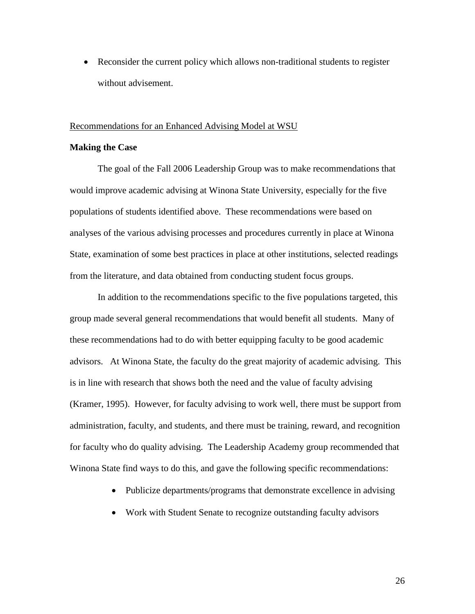• Reconsider the current policy which allows non-traditional students to register without advisement.

#### Recommendations for an Enhanced Advising Model at WSU

# **Making the Case**

The goal of the Fall 2006 Leadership Group was to make recommendations that would improve academic advising at Winona State University, especially for the five populations of students identified above. These recommendations were based on analyses of the various advising processes and procedures currently in place at Winona State, examination of some best practices in place at other institutions, selected readings from the literature, and data obtained from conducting student focus groups.

In addition to the recommendations specific to the five populations targeted, this group made several general recommendations that would benefit all students. Many of these recommendations had to do with better equipping faculty to be good academic advisors. At Winona State, the faculty do the great majority of academic advising. This is in line with research that shows both the need and the value of faculty advising (Kramer, 1995). However, for faculty advising to work well, there must be support from administration, faculty, and students, and there must be training, reward, and recognition for faculty who do quality advising. The Leadership Academy group recommended that Winona State find ways to do this, and gave the following specific recommendations:

- Publicize departments/programs that demonstrate excellence in advising
- Work with Student Senate to recognize outstanding faculty advisors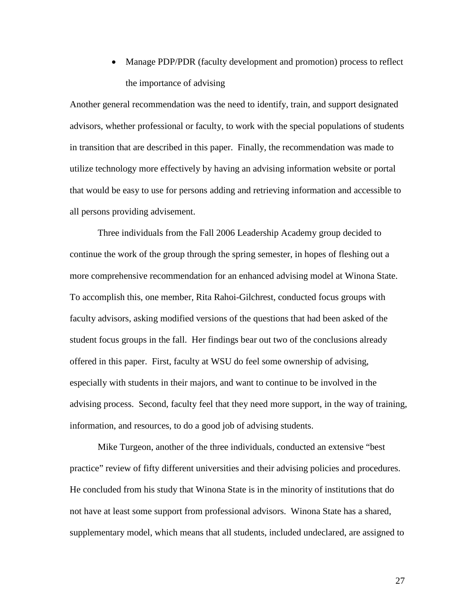• Manage PDP/PDR (faculty development and promotion) process to reflect the importance of advising

Another general recommendation was the need to identify, train, and support designated advisors, whether professional or faculty, to work with the special populations of students in transition that are described in this paper. Finally, the recommendation was made to utilize technology more effectively by having an advising information website or portal that would be easy to use for persons adding and retrieving information and accessible to all persons providing advisement.

Three individuals from the Fall 2006 Leadership Academy group decided to continue the work of the group through the spring semester, in hopes of fleshing out a more comprehensive recommendation for an enhanced advising model at Winona State. To accomplish this, one member, Rita Rahoi-Gilchrest, conducted focus groups with faculty advisors, asking modified versions of the questions that had been asked of the student focus groups in the fall. Her findings bear out two of the conclusions already offered in this paper. First, faculty at WSU do feel some ownership of advising, especially with students in their majors, and want to continue to be involved in the advising process. Second, faculty feel that they need more support, in the way of training, information, and resources, to do a good job of advising students.

Mike Turgeon, another of the three individuals, conducted an extensive "best practice" review of fifty different universities and their advising policies and procedures. He concluded from his study that Winona State is in the minority of institutions that do not have at least some support from professional advisors. Winona State has a shared, supplementary model, which means that all students, included undeclared, are assigned to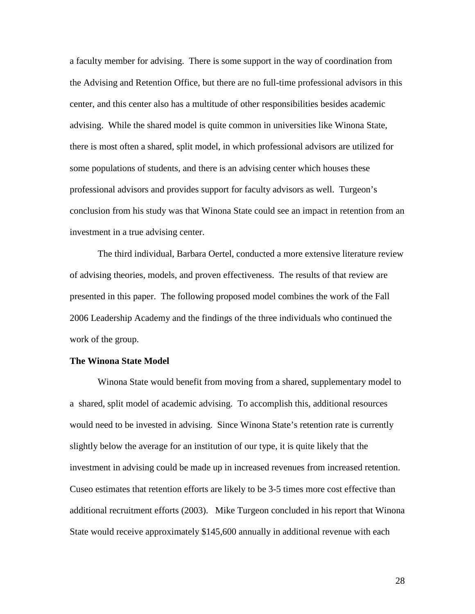a faculty member for advising. There is some support in the way of coordination from the Advising and Retention Office, but there are no full-time professional advisors in this center, and this center also has a multitude of other responsibilities besides academic advising. While the shared model is quite common in universities like Winona State, there is most often a shared, split model, in which professional advisors are utilized for some populations of students, and there is an advising center which houses these professional advisors and provides support for faculty advisors as well. Turgeon's conclusion from his study was that Winona State could see an impact in retention from an investment in a true advising center.

The third individual, Barbara Oertel, conducted a more extensive literature review of advising theories, models, and proven effectiveness. The results of that review are presented in this paper. The following proposed model combines the work of the Fall 2006 Leadership Academy and the findings of the three individuals who continued the work of the group.

#### **The Winona State Model**

Winona State would benefit from moving from a shared, supplementary model to a shared, split model of academic advising. To accomplish this, additional resources would need to be invested in advising. Since Winona State's retention rate is currently slightly below the average for an institution of our type, it is quite likely that the investment in advising could be made up in increased revenues from increased retention. Cuseo estimates that retention efforts are likely to be 3-5 times more cost effective than additional recruitment efforts (2003). Mike Turgeon concluded in his report that Winona State would receive approximately \$145,600 annually in additional revenue with each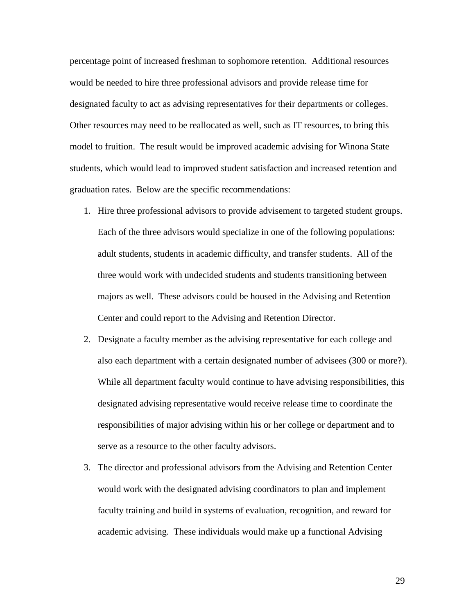percentage point of increased freshman to sophomore retention. Additional resources would be needed to hire three professional advisors and provide release time for designated faculty to act as advising representatives for their departments or colleges. Other resources may need to be reallocated as well, such as IT resources, to bring this model to fruition. The result would be improved academic advising for Winona State students, which would lead to improved student satisfaction and increased retention and graduation rates. Below are the specific recommendations:

- 1. Hire three professional advisors to provide advisement to targeted student groups. Each of the three advisors would specialize in one of the following populations: adult students, students in academic difficulty, and transfer students. All of the three would work with undecided students and students transitioning between majors as well. These advisors could be housed in the Advising and Retention Center and could report to the Advising and Retention Director.
- 2. Designate a faculty member as the advising representative for each college and also each department with a certain designated number of advisees (300 or more?). While all department faculty would continue to have advising responsibilities, this designated advising representative would receive release time to coordinate the responsibilities of major advising within his or her college or department and to serve as a resource to the other faculty advisors.
- 3. The director and professional advisors from the Advising and Retention Center would work with the designated advising coordinators to plan and implement faculty training and build in systems of evaluation, recognition, and reward for academic advising. These individuals would make up a functional Advising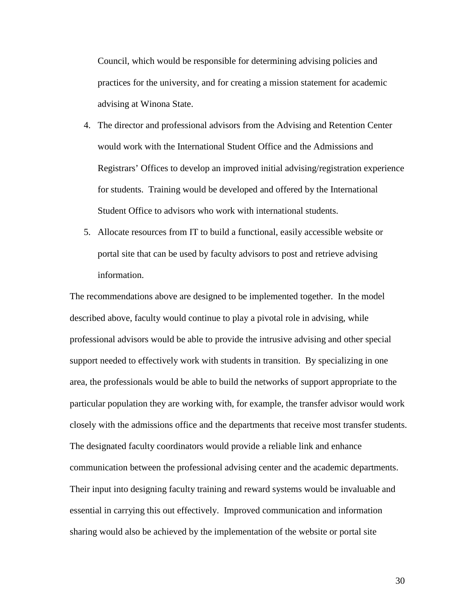Council, which would be responsible for determining advising policies and practices for the university, and for creating a mission statement for academic advising at Winona State.

- 4. The director and professional advisors from the Advising and Retention Center would work with the International Student Office and the Admissions and Registrars' Offices to develop an improved initial advising/registration experience for students. Training would be developed and offered by the International Student Office to advisors who work with international students.
- 5. Allocate resources from IT to build a functional, easily accessible website or portal site that can be used by faculty advisors to post and retrieve advising information.

The recommendations above are designed to be implemented together. In the model described above, faculty would continue to play a pivotal role in advising, while professional advisors would be able to provide the intrusive advising and other special support needed to effectively work with students in transition. By specializing in one area, the professionals would be able to build the networks of support appropriate to the particular population they are working with, for example, the transfer advisor would work closely with the admissions office and the departments that receive most transfer students. The designated faculty coordinators would provide a reliable link and enhance communication between the professional advising center and the academic departments. Their input into designing faculty training and reward systems would be invaluable and essential in carrying this out effectively. Improved communication and information sharing would also be achieved by the implementation of the website or portal site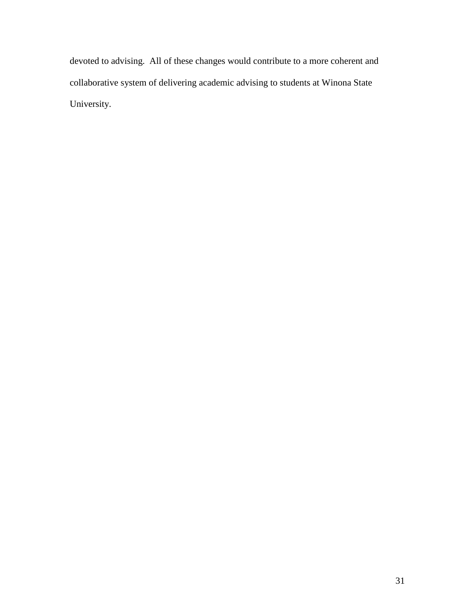devoted to advising. All of these changes would contribute to a more coherent and collaborative system of delivering academic advising to students at Winona State University.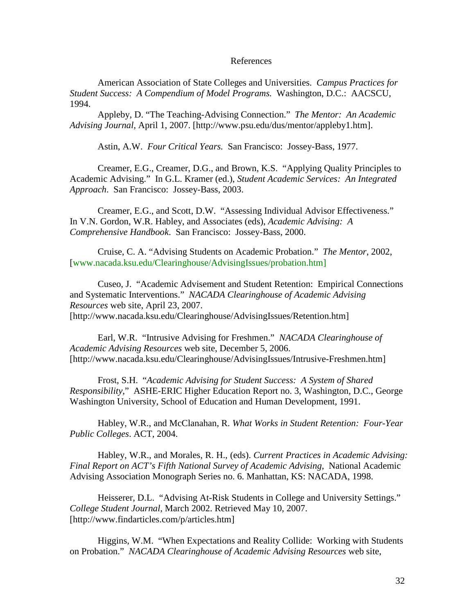### References

American Association of State Colleges and Universities. *Campus Practices for Student Success: A Compendium of Model Programs.* Washington, D.C.: AACSCU, 1994.

Appleby, D. "The Teaching-Advising Connection." *The Mentor: An Academic Advising Journal*, April 1, 2007. [http://www.psu.edu/dus/mentor/appleby1.htm].

Astin, A.W. *Four Critical Years.* San Francisco: Jossey-Bass, 1977.

Creamer, E.G., Creamer, D.G., and Brown, K.S. "Applying Quality Principles to Academic Advising." In G.L. Kramer (ed.), *Student Academic Services: An Integrated Approach*. San Francisco: Jossey-Bass, 2003.

Creamer, E.G., and Scott, D.W. "Assessing Individual Advisor Effectiveness." In V.N. Gordon, W.R. Habley, and Associates (eds), *Academic Advising: A Comprehensive Handbook*. San Francisco: Jossey-Bass, 2000.

Cruise, C. A. "Advising Students on Academic Probation." *The Mentor*, 2002, [www.nacada.ksu.edu/Clearinghouse/AdvisingIssues/probation.htm]

Cuseo, J. "Academic Advisement and Student Retention: Empirical Connections and Systematic Interventions." *NACADA Clearinghouse of Academic Advising Resources* web site, April 23, 2007. [http://www.nacada.ksu.edu/Clearinghouse/AdvisingIssues/Retention.htm]

Earl, W.R. "Intrusive Advising for Freshmen." *NACADA Clearinghouse of Academic Advising Resources* web site, December 5, 2006. [http://www.nacada.ksu.edu/Clearinghouse/AdvisingIssues/Intrusive-Freshmen.htm]

Frost, S.H. "*Academic Advising for Student Success: A System of Shared Responsibility*," ASHE-ERIC Higher Education Report no. 3, Washington, D.C., George Washington University, School of Education and Human Development, 1991.

Habley, W.R., and McClanahan, R. *What Works in Student Retention: Four-Year Public Colleges*. ACT, 2004.

Habley, W.R., and Morales, R. H., (eds). *Current Practices in Academic Advising: Final Report on ACT's Fifth National Survey of Academic Advising*, National Academic Advising Association Monograph Series no. 6. Manhattan, KS: NACADA, 1998.

Heisserer, D.L. "Advising At-Risk Students in College and University Settings." *College Student Journal*, March 2002. Retrieved May 10, 2007. [http://www.findarticles.com/p/articles.htm]

Higgins, W.M. "When Expectations and Reality Collide: Working with Students on Probation." *NACADA Clearinghouse of Academic Advising Resources* web site,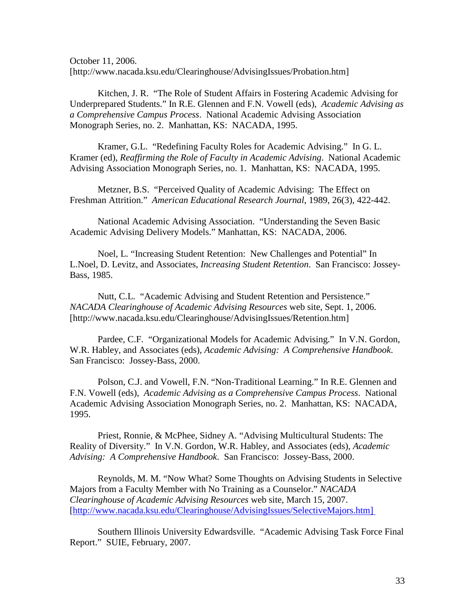October 11, 2006. [http://www.nacada.ksu.edu/Clearinghouse/AdvisingIssues/Probation.htm]

Kitchen, J. R. "The Role of Student Affairs in Fostering Academic Advising for Underprepared Students." In R.E. Glennen and F.N. Vowell (eds), *Academic Advising as a Comprehensive Campus Process*. National Academic Advising Association Monograph Series, no. 2. Manhattan, KS: NACADA, 1995.

Kramer, G.L. "Redefining Faculty Roles for Academic Advising." In G. L. Kramer (ed), *Reaffirming the Role of Faculty in Academic Advising*. National Academic Advising Association Monograph Series, no. 1. Manhattan, KS: NACADA, 1995.

Metzner, B.S. "Perceived Quality of Academic Advising: The Effect on Freshman Attrition." *American Educational Research Journal*, 1989, 26(3), 422-442.

National Academic Advising Association. "Understanding the Seven Basic Academic Advising Delivery Models." Manhattan, KS: NACADA, 2006.

Noel, L. "Increasing Student Retention: New Challenges and Potential" In L.Noel, D. Levitz, and Associates, *Increasing Student Retention*. San Francisco: Jossey-Bass, 1985.

Nutt, C.L. "Academic Advising and Student Retention and Persistence." *NACADA Clearinghouse of Academic Advising Resources* web site, Sept. 1, 2006. [http://www.nacada.ksu.edu/Clearinghouse/AdvisingIssues/Retention.htm]

Pardee, C.F. "Organizational Models for Academic Advising." In V.N. Gordon, W.R. Habley, and Associates (eds), *Academic Advising: A Comprehensive Handbook*. San Francisco: Jossey-Bass, 2000.

Polson, C.J. and Vowell, F.N. "Non-Traditional Learning." In R.E. Glennen and F.N. Vowell (eds), *Academic Advising as a Comprehensive Campus Process*. National Academic Advising Association Monograph Series, no. 2. Manhattan, KS: NACADA, 1995.

Priest, Ronnie, & McPhee, Sidney A. "Advising Multicultural Students: The Reality of Diversity." In V.N. Gordon, W.R. Habley, and Associates (eds), *Academic Advising: A Comprehensive Handbook*. San Francisco: Jossey-Bass, 2000.

Reynolds, M. M. "Now What? Some Thoughts on Advising Students in Selective Majors from a Faculty Member with No Training as a Counselor." *NACADA Clearinghouse of Academic Advising Resources* web site, March 15, 2007. [\[http://www.nacada.ksu.edu/Clearinghouse/AdvisingIssues/SelectiveMajors.htm\]](http://www.nacada.ksu.edu/Clearinghouse/AdvisingIssues/SelectiveMajors.htm%5d) 

Southern Illinois University Edwardsville. "Academic Advising Task Force Final Report." SUIE, February, 2007.